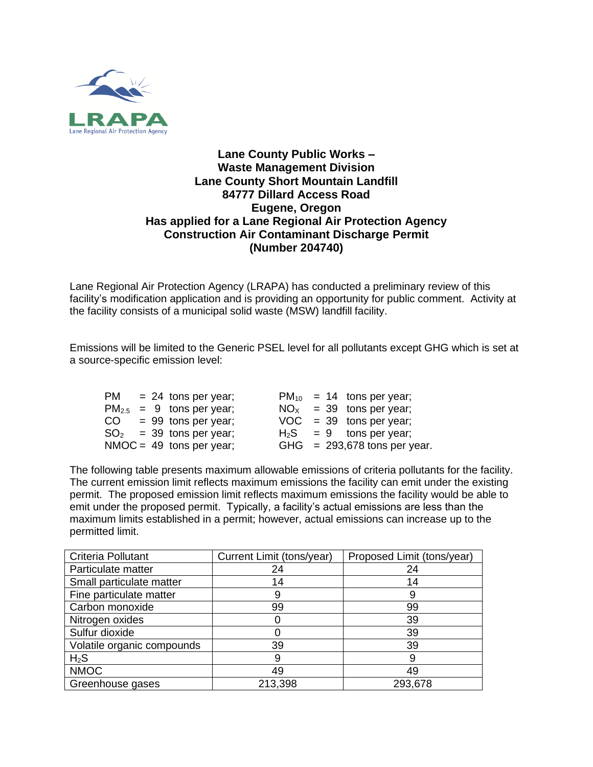

## **Lane County Public Works – Waste Management Division Lane County Short Mountain Landfill 84777 Dillard Access Road Eugene, Oregon Has applied for a Lane Regional Air Protection Agency Construction Air Contaminant Discharge Permit (Number 204740)**

Lane Regional Air Protection Agency (LRAPA) has conducted a preliminary review of this facility's modification application and is providing an opportunity for public comment. Activity at the facility consists of a municipal solid waste (MSW) landfill facility.

Emissions will be limited to the Generic PSEL level for all pollutants except GHG which is set at a source-specific emission level:

|  | $PM = 24$ tons per year;      |  | $PM_{10}$ = 14 tons per year;  |
|--|-------------------------------|--|--------------------------------|
|  | $PM_{2.5}$ = 9 tons per year; |  | $NOx = 39$ tons per year;      |
|  | $CO = 99$ tons per year;      |  | $VOC = 39$ tons per year;      |
|  | $SO2 = 39$ tons per year;     |  | $H_2S = 9$ tons per year;      |
|  | $NMOC = 49$ tons per year;    |  | GHG $= 293,678$ tons per year. |

The following table presents maximum allowable emissions of criteria pollutants for the facility. The current emission limit reflects maximum emissions the facility can emit under the existing permit. The proposed emission limit reflects maximum emissions the facility would be able to emit under the proposed permit. Typically, a facility's actual emissions are less than the maximum limits established in a permit; however, actual emissions can increase up to the permitted limit.

| Criteria Pollutant         | Current Limit (tons/year) | Proposed Limit (tons/year) |  |  |
|----------------------------|---------------------------|----------------------------|--|--|
| Particulate matter         | 24                        | 24                         |  |  |
| Small particulate matter   | 14                        | 14                         |  |  |
| Fine particulate matter    | 9                         | 9                          |  |  |
| Carbon monoxide            | 99                        | 99                         |  |  |
| Nitrogen oxides            |                           | 39                         |  |  |
| Sulfur dioxide             |                           | 39                         |  |  |
| Volatile organic compounds | 39                        | 39                         |  |  |
| $H_2S$                     | 9                         | 9                          |  |  |
| <b>NMOC</b>                | 49                        | 49                         |  |  |
| Greenhouse gases           | 213,398                   | 293,678                    |  |  |